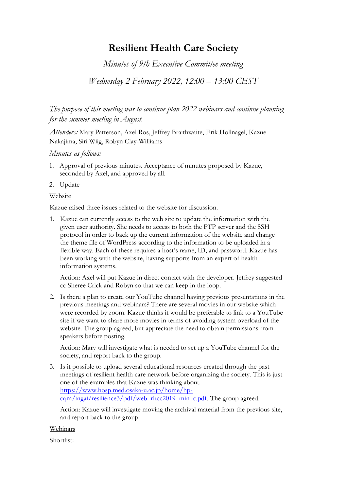## **Resilient Health Care Society**

*Minutes of 9th Executive Committee meeting* 

*Wednesday 2 February 2022, 12:00 – 13:00 CEST*

*The purpose of this meeting was to continue plan 2022 webinars and continue planning for the summer meeting in August.*

*Attendees:* Mary Patterson, Axel Ros, Jeffrey Braithwaite, Erik Hollnagel, Kazue Nakajima, Siri Wiig, Robyn Clay-Williams

## *Minutes as follows:*

- 1. Approval of previous minutes. Acceptance of minutes proposed by Kazue, seconded by Axel, and approved by all.
- 2. Update

## Website

Kazue raised three issues related to the website for discussion.

1. Kazue can currently access to the web site to update the information with the given user authority. She needs to access to both the FTP server and the SSH protocol in order to back up the current information of the website and change the theme file of WordPress according to the information to be uploaded in a flexible way. Each of these requires a host's name, ID, and password. Kazue has been working with the website, having supports from an expert of health information systems.

Action: Axel will put Kazue in direct contact with the developer. Jeffrey suggested cc Sheree Crick and Robyn so that we can keep in the loop.

2. Is there a plan to create our YouTube channel having previous presentations in the previous meetings and webinars? There are several movies in our website which were recorded by zoom. Kazue thinks it would be preferable to link to a YouTube site if we want to share more movies in terms of avoiding system overload of the website. The group agreed, but appreciate the need to obtain permissions from speakers before posting.

Action: Mary will investigate what is needed to set up a YouTube channel for the society, and report back to the group.

3. Is it possible to upload several educational resources created through the past meetings of resilient health care network before organizing the society. This is just one of the examples that Kazue was thinking about. [https://www.hosp.med.osaka-u.ac.jp/home/hp](https://www.hosp.med.osaka-u.ac.jp/home/hp-cqm/ingai/resilience3/pdf/web_rhcc2019_min_c.pdf)[cqm/ingai/resilience3/pdf/web\\_rhcc2019\\_min\\_c.pdf.](https://www.hosp.med.osaka-u.ac.jp/home/hp-cqm/ingai/resilience3/pdf/web_rhcc2019_min_c.pdf) The group agreed.

Action: Kazue will investigate moving the archival material from the previous site, and report back to the group.

Webinars

Shortlist: